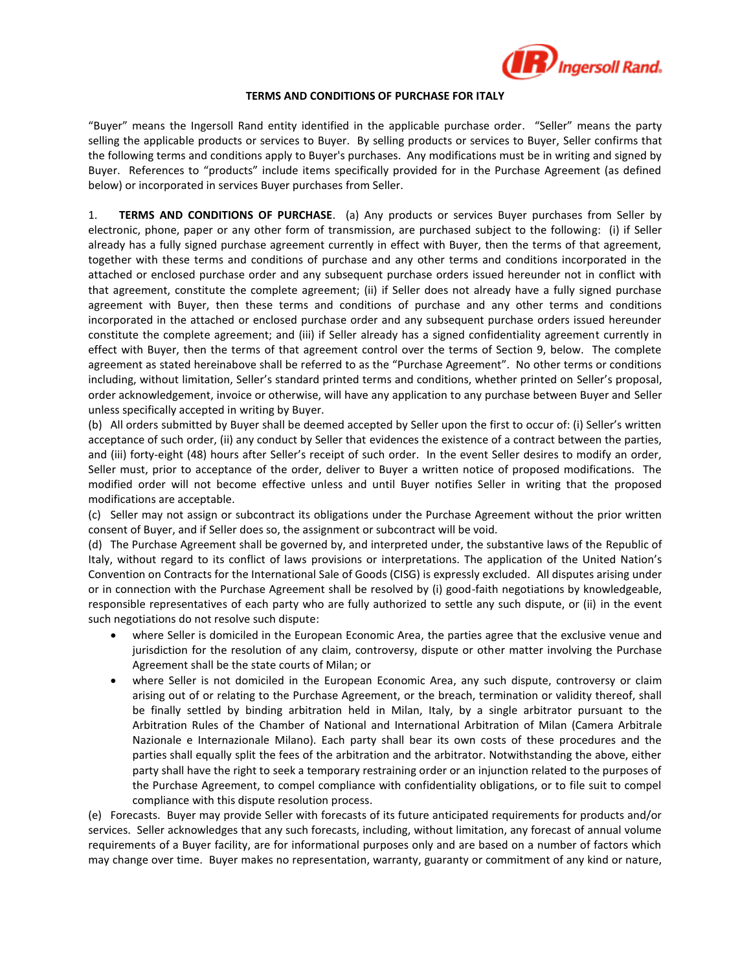

## **TERMS AND CONDITIONS OF PURCHASE FOR ITALY**

"Buyer" means the Ingersoll Rand entity identified in the applicable purchase order. "Seller" means the party selling the applicable products or services to Buyer. By selling products or services to Buyer, Seller confirms that the following terms and conditions apply to Buyer's purchases. Any modifications must be in writing and signed by Buyer. References to "products" include items specifically provided for in the Purchase Agreement (as defined below) or incorporated in services Buyer purchases from Seller.

1. **TERMS AND CONDITIONS OF PURCHASE**. (a) Any products or services Buyer purchases from Seller by electronic, phone, paper or any other form of transmission, are purchased subject to the following: (i) if Seller already has a fully signed purchase agreement currently in effect with Buyer, then the terms of that agreement, together with these terms and conditions of purchase and any other terms and conditions incorporated in the attached or enclosed purchase order and any subsequent purchase orders issued hereunder not in conflict with that agreement, constitute the complete agreement; (ii) if Seller does not already have a fully signed purchase agreement with Buyer, then these terms and conditions of purchase and any other terms and conditions incorporated in the attached or enclosed purchase order and any subsequent purchase orders issued hereunder constitute the complete agreement; and (iii) if Seller already has a signed confidentiality agreement currently in effect with Buyer, then the terms of that agreement control over the terms of Section 9, below. The complete agreement as stated hereinabove shall be referred to as the "Purchase Agreement". No other terms or conditions including, without limitation, Seller's standard printed terms and conditions, whether printed on Seller's proposal, order acknowledgement, invoice or otherwise, will have any application to any purchase between Buyer and Seller unless specifically accepted in writing by Buyer.

(b) All orders submitted by Buyer shall be deemed accepted by Seller upon the first to occur of: (i) Seller's written acceptance of such order, (ii) any conduct by Seller that evidences the existence of a contract between the parties, and (iii) forty-eight (48) hours after Seller's receipt of such order. In the event Seller desires to modify an order, Seller must, prior to acceptance of the order, deliver to Buyer a written notice of proposed modifications. The modified order will not become effective unless and until Buyer notifies Seller in writing that the proposed modifications are acceptable.

(c) Seller may not assign or subcontract its obligations under the Purchase Agreement without the prior written consent of Buyer, and if Seller does so, the assignment or subcontract will be void.

(d) The Purchase Agreement shall be governed by, and interpreted under, the substantive laws of the Republic of Italy, without regard to its conflict of laws provisions or interpretations. The application of the United Nation's Convention on Contracts for the International Sale of Goods (CISG) is expressly excluded. All disputes arising under or in connection with the Purchase Agreement shall be resolved by (i) good-faith negotiations by knowledgeable, responsible representatives of each party who are fully authorized to settle any such dispute, or (ii) in the event such negotiations do not resolve such dispute:

- where Seller is domiciled in the European Economic Area, the parties agree that the exclusive venue and jurisdiction for the resolution of any claim, controversy, dispute or other matter involving the Purchase Agreement shall be the state courts of Milan; or
- where Seller is not domiciled in the European Economic Area, any such dispute, controversy or claim arising out of or relating to the Purchase Agreement, or the breach, termination or validity thereof, shall be finally settled by binding arbitration held in Milan, Italy, by a single arbitrator pursuant to the Arbitration Rules of the Chamber of National and International Arbitration of Milan (Camera Arbitrale Nazionale e Internazionale Milano). Each party shall bear its own costs of these procedures and the parties shall equally split the fees of the arbitration and the arbitrator. Notwithstanding the above, either party shall have the right to seek a temporary restraining order or an injunction related to the purposes of the Purchase Agreement, to compel compliance with confidentiality obligations, or to file suit to compel compliance with this dispute resolution process.

(e) Forecasts. Buyer may provide Seller with forecasts of its future anticipated requirements for products and/or services. Seller acknowledges that any such forecasts, including, without limitation, any forecast of annual volume requirements of a Buyer facility, are for informational purposes only and are based on a number of factors which may change over time. Buyer makes no representation, warranty, guaranty or commitment of any kind or nature,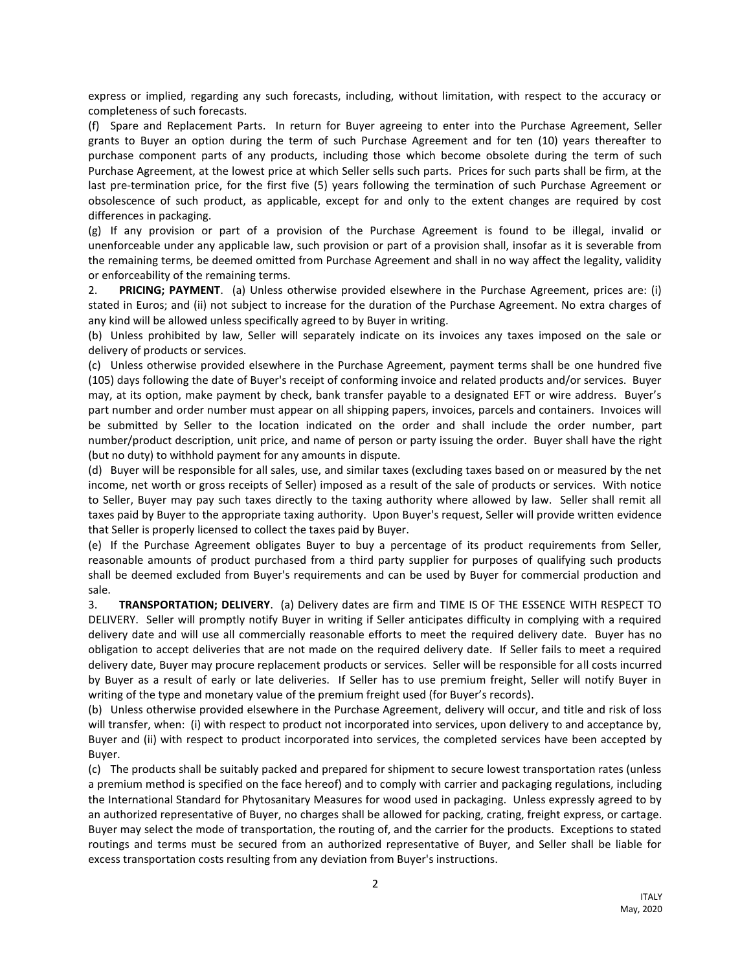express or implied, regarding any such forecasts, including, without limitation, with respect to the accuracy or completeness of such forecasts.

(f) Spare and Replacement Parts. In return for Buyer agreeing to enter into the Purchase Agreement, Seller grants to Buyer an option during the term of such Purchase Agreement and for ten (10) years thereafter to purchase component parts of any products, including those which become obsolete during the term of such Purchase Agreement, at the lowest price at which Seller sells such parts. Prices for such parts shall be firm, at the last pre-termination price, for the first five (5) years following the termination of such Purchase Agreement or obsolescence of such product, as applicable, except for and only to the extent changes are required by cost differences in packaging.

(g) If any provision or part of a provision of the Purchase Agreement is found to be illegal, invalid or unenforceable under any applicable law, such provision or part of a provision shall, insofar as it is severable from the remaining terms, be deemed omitted from Purchase Agreement and shall in no way affect the legality, validity or enforceability of the remaining terms.

2. **PRICING; PAYMENT**. (a) Unless otherwise provided elsewhere in the Purchase Agreement, prices are: (i) stated in Euros; and (ii) not subject to increase for the duration of the Purchase Agreement. No extra charges of any kind will be allowed unless specifically agreed to by Buyer in writing.

(b) Unless prohibited by law, Seller will separately indicate on its invoices any taxes imposed on the sale or delivery of products or services.

(c) Unless otherwise provided elsewhere in the Purchase Agreement, payment terms shall be one hundred five (105) days following the date of Buyer's receipt of conforming invoice and related products and/or services. Buyer may, at its option, make payment by check, bank transfer payable to a designated EFT or wire address. Buyer's part number and order number must appear on all shipping papers, invoices, parcels and containers. Invoices will be submitted by Seller to the location indicated on the order and shall include the order number, part number/product description, unit price, and name of person or party issuing the order. Buyer shall have the right (but no duty) to withhold payment for any amounts in dispute.

(d) Buyer will be responsible for all sales, use, and similar taxes (excluding taxes based on or measured by the net income, net worth or gross receipts of Seller) imposed as a result of the sale of products or services. With notice to Seller, Buyer may pay such taxes directly to the taxing authority where allowed by law. Seller shall remit all taxes paid by Buyer to the appropriate taxing authority. Upon Buyer's request, Seller will provide written evidence that Seller is properly licensed to collect the taxes paid by Buyer.

(e) If the Purchase Agreement obligates Buyer to buy a percentage of its product requirements from Seller, reasonable amounts of product purchased from a third party supplier for purposes of qualifying such products shall be deemed excluded from Buyer's requirements and can be used by Buyer for commercial production and sale.

3. **TRANSPORTATION; DELIVERY**. (a) Delivery dates are firm and TIME IS OF THE ESSENCE WITH RESPECT TO DELIVERY. Seller will promptly notify Buyer in writing if Seller anticipates difficulty in complying with a required delivery date and will use all commercially reasonable efforts to meet the required delivery date. Buyer has no obligation to accept deliveries that are not made on the required delivery date. If Seller fails to meet a required delivery date, Buyer may procure replacement products or services. Seller will be responsible for all costs incurred by Buyer as a result of early or late deliveries. If Seller has to use premium freight, Seller will notify Buyer in writing of the type and monetary value of the premium freight used (for Buyer's records).

(b) Unless otherwise provided elsewhere in the Purchase Agreement, delivery will occur, and title and risk of loss will transfer, when: (i) with respect to product not incorporated into services, upon delivery to and acceptance by, Buyer and (ii) with respect to product incorporated into services, the completed services have been accepted by Buyer.

(c) The products shall be suitably packed and prepared for shipment to secure lowest transportation rates (unless a premium method is specified on the face hereof) and to comply with carrier and packaging regulations, including the International Standard for Phytosanitary Measures for wood used in packaging. Unless expressly agreed to by an authorized representative of Buyer, no charges shall be allowed for packing, crating, freight express, or cartage. Buyer may select the mode of transportation, the routing of, and the carrier for the products. Exceptions to stated routings and terms must be secured from an authorized representative of Buyer, and Seller shall be liable for excess transportation costs resulting from any deviation from Buyer's instructions.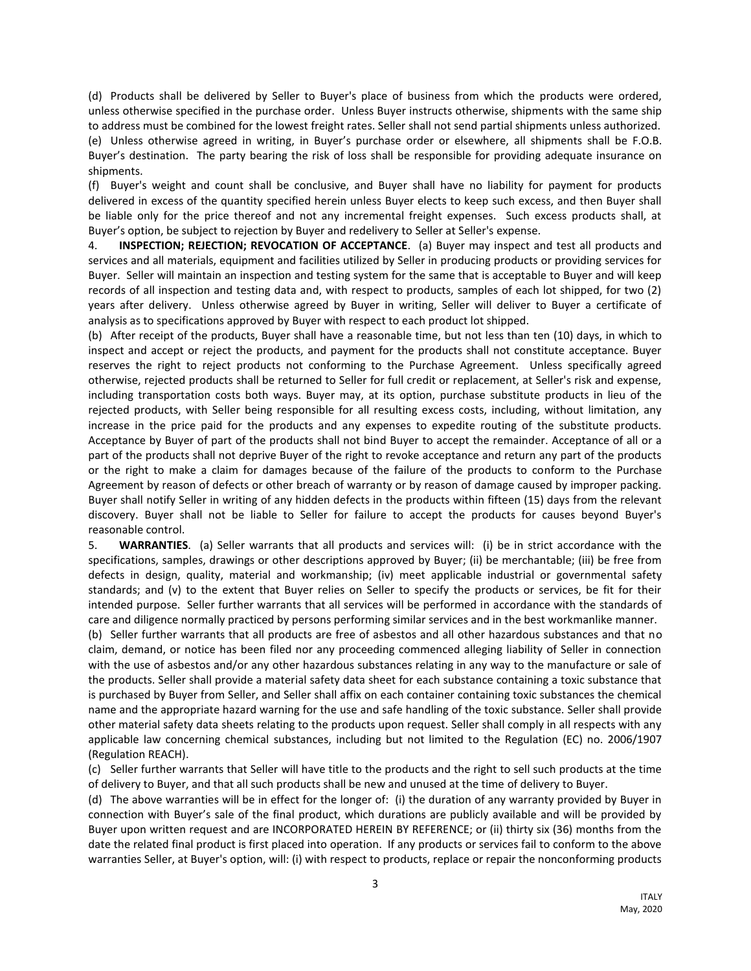(d) Products shall be delivered by Seller to Buyer's place of business from which the products were ordered, unless otherwise specified in the purchase order. Unless Buyer instructs otherwise, shipments with the same ship to address must be combined for the lowest freight rates. Seller shall not send partial shipments unless authorized. (e) Unless otherwise agreed in writing, in Buyer's purchase order or elsewhere, all shipments shall be F.O.B. Buyer's destination. The party bearing the risk of loss shall be responsible for providing adequate insurance on shipments.

(f) Buyer's weight and count shall be conclusive, and Buyer shall have no liability for payment for products delivered in excess of the quantity specified herein unless Buyer elects to keep such excess, and then Buyer shall be liable only for the price thereof and not any incremental freight expenses. Such excess products shall, at Buyer's option, be subject to rejection by Buyer and redelivery to Seller at Seller's expense.

4. **INSPECTION; REJECTION; REVOCATION OF ACCEPTANCE**. (a) Buyer may inspect and test all products and services and all materials, equipment and facilities utilized by Seller in producing products or providing services for Buyer. Seller will maintain an inspection and testing system for the same that is acceptable to Buyer and will keep records of all inspection and testing data and, with respect to products, samples of each lot shipped, for two (2) years after delivery. Unless otherwise agreed by Buyer in writing, Seller will deliver to Buyer a certificate of analysis as to specifications approved by Buyer with respect to each product lot shipped.

(b) After receipt of the products, Buyer shall have a reasonable time, but not less than ten (10) days, in which to inspect and accept or reject the products, and payment for the products shall not constitute acceptance. Buyer reserves the right to reject products not conforming to the Purchase Agreement. Unless specifically agreed otherwise, rejected products shall be returned to Seller for full credit or replacement, at Seller's risk and expense, including transportation costs both ways. Buyer may, at its option, purchase substitute products in lieu of the rejected products, with Seller being responsible for all resulting excess costs, including, without limitation, any increase in the price paid for the products and any expenses to expedite routing of the substitute products. Acceptance by Buyer of part of the products shall not bind Buyer to accept the remainder. Acceptance of all or a part of the products shall not deprive Buyer of the right to revoke acceptance and return any part of the products or the right to make a claim for damages because of the failure of the products to conform to the Purchase Agreement by reason of defects or other breach of warranty or by reason of damage caused by improper packing. Buyer shall notify Seller in writing of any hidden defects in the products within fifteen (15) days from the relevant discovery. Buyer shall not be liable to Seller for failure to accept the products for causes beyond Buyer's reasonable control.

5. **WARRANTIES**. (a) Seller warrants that all products and services will: (i) be in strict accordance with the specifications, samples, drawings or other descriptions approved by Buyer; (ii) be merchantable; (iii) be free from defects in design, quality, material and workmanship; (iv) meet applicable industrial or governmental safety standards; and (v) to the extent that Buyer relies on Seller to specify the products or services, be fit for their intended purpose. Seller further warrants that all services will be performed in accordance with the standards of care and diligence normally practiced by persons performing similar services and in the best workmanlike manner.

(b) Seller further warrants that all products are free of asbestos and all other hazardous substances and that no claim, demand, or notice has been filed nor any proceeding commenced alleging liability of Seller in connection with the use of asbestos and/or any other hazardous substances relating in any way to the manufacture or sale of the products. Seller shall provide a material safety data sheet for each substance containing a toxic substance that is purchased by Buyer from Seller, and Seller shall affix on each container containing toxic substances the chemical name and the appropriate hazard warning for the use and safe handling of the toxic substance. Seller shall provide other material safety data sheets relating to the products upon request. Seller shall comply in all respects with any applicable law concerning chemical substances, including but not limited to the Regulation (EC) no. 2006/1907 (Regulation REACH).

(c) Seller further warrants that Seller will have title to the products and the right to sell such products at the time of delivery to Buyer, and that all such products shall be new and unused at the time of delivery to Buyer.

(d) The above warranties will be in effect for the longer of: (i) the duration of any warranty provided by Buyer in connection with Buyer's sale of the final product, which durations are publicly available and will be provided by Buyer upon written request and are INCORPORATED HEREIN BY REFERENCE; or (ii) thirty six (36) months from the date the related final product is first placed into operation. If any products or services fail to conform to the above warranties Seller, at Buyer's option, will: (i) with respect to products, replace or repair the nonconforming products

**ITALY**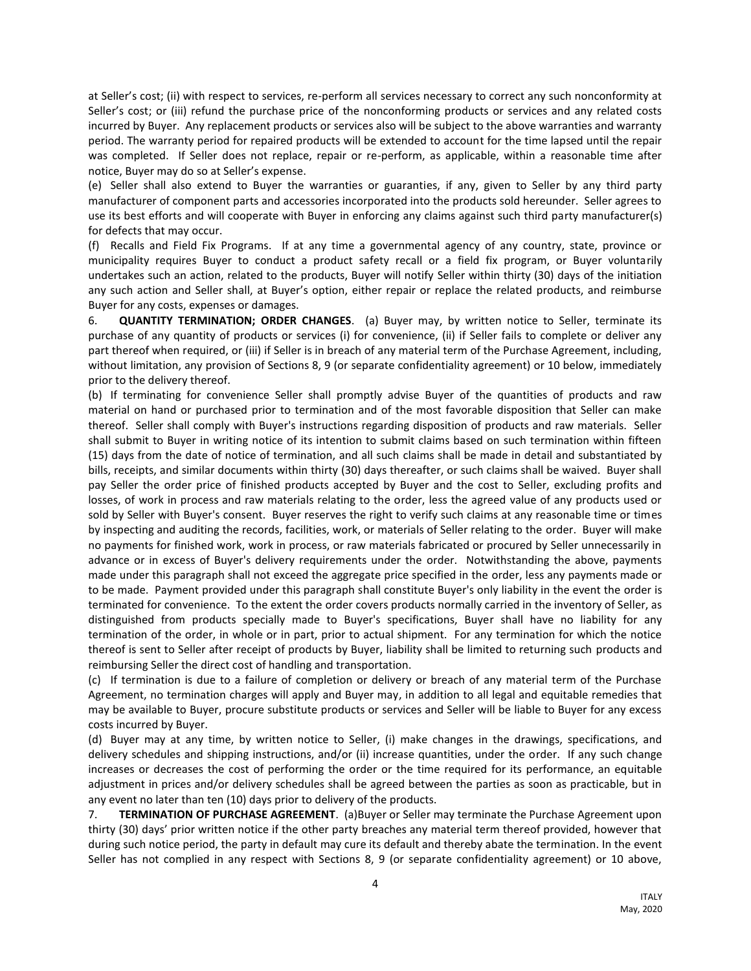at Seller's cost; (ii) with respect to services, re-perform all services necessary to correct any such nonconformity at Seller's cost; or (iii) refund the purchase price of the nonconforming products or services and any related costs incurred by Buyer. Any replacement products or services also will be subject to the above warranties and warranty period. The warranty period for repaired products will be extended to account for the time lapsed until the repair was completed. If Seller does not replace, repair or re-perform, as applicable, within a reasonable time after notice, Buyer may do so at Seller's expense.

(e) Seller shall also extend to Buyer the warranties or guaranties, if any, given to Seller by any third party manufacturer of component parts and accessories incorporated into the products sold hereunder. Seller agrees to use its best efforts and will cooperate with Buyer in enforcing any claims against such third party manufacturer(s) for defects that may occur.

(f) Recalls and Field Fix Programs. If at any time a governmental agency of any country, state, province or municipality requires Buyer to conduct a product safety recall or a field fix program, or Buyer voluntarily undertakes such an action, related to the products, Buyer will notify Seller within thirty (30) days of the initiation any such action and Seller shall, at Buyer's option, either repair or replace the related products, and reimburse Buyer for any costs, expenses or damages.

6. **QUANTITY TERMINATION; ORDER CHANGES**. (a) Buyer may, by written notice to Seller, terminate its purchase of any quantity of products or services (i) for convenience, (ii) if Seller fails to complete or deliver any part thereof when required, or (iii) if Seller is in breach of any material term of the Purchase Agreement, including, without limitation, any provision of Sections 8, 9 (or separate confidentiality agreement) or 10 below, immediately prior to the delivery thereof.

(b) If terminating for convenience Seller shall promptly advise Buyer of the quantities of products and raw material on hand or purchased prior to termination and of the most favorable disposition that Seller can make thereof. Seller shall comply with Buyer's instructions regarding disposition of products and raw materials. Seller shall submit to Buyer in writing notice of its intention to submit claims based on such termination within fifteen (15) days from the date of notice of termination, and all such claims shall be made in detail and substantiated by bills, receipts, and similar documents within thirty (30) days thereafter, or such claims shall be waived. Buyer shall pay Seller the order price of finished products accepted by Buyer and the cost to Seller, excluding profits and losses, of work in process and raw materials relating to the order, less the agreed value of any products used or sold by Seller with Buyer's consent. Buyer reserves the right to verify such claims at any reasonable time or times by inspecting and auditing the records, facilities, work, or materials of Seller relating to the order. Buyer will make no payments for finished work, work in process, or raw materials fabricated or procured by Seller unnecessarily in advance or in excess of Buyer's delivery requirements under the order. Notwithstanding the above, payments made under this paragraph shall not exceed the aggregate price specified in the order, less any payments made or to be made. Payment provided under this paragraph shall constitute Buyer's only liability in the event the order is terminated for convenience. To the extent the order covers products normally carried in the inventory of Seller, as distinguished from products specially made to Buyer's specifications, Buyer shall have no liability for any termination of the order, in whole or in part, prior to actual shipment. For any termination for which the notice thereof is sent to Seller after receipt of products by Buyer, liability shall be limited to returning such products and reimbursing Seller the direct cost of handling and transportation.

(c) If termination is due to a failure of completion or delivery or breach of any material term of the Purchase Agreement, no termination charges will apply and Buyer may, in addition to all legal and equitable remedies that may be available to Buyer, procure substitute products or services and Seller will be liable to Buyer for any excess costs incurred by Buyer.

(d) Buyer may at any time, by written notice to Seller, (i) make changes in the drawings, specifications, and delivery schedules and shipping instructions, and/or (ii) increase quantities, under the order. If any such change increases or decreases the cost of performing the order or the time required for its performance, an equitable adjustment in prices and/or delivery schedules shall be agreed between the parties as soon as practicable, but in any event no later than ten (10) days prior to delivery of the products.

7. **TERMINATION OF PURCHASE AGREEMENT**. (a)Buyer or Seller may terminate the Purchase Agreement upon thirty (30) days' prior written notice if the other party breaches any material term thereof provided, however that during such notice period, the party in default may cure its default and thereby abate the termination. In the event Seller has not complied in any respect with Sections 8, 9 (or separate confidentiality agreement) or 10 above,

4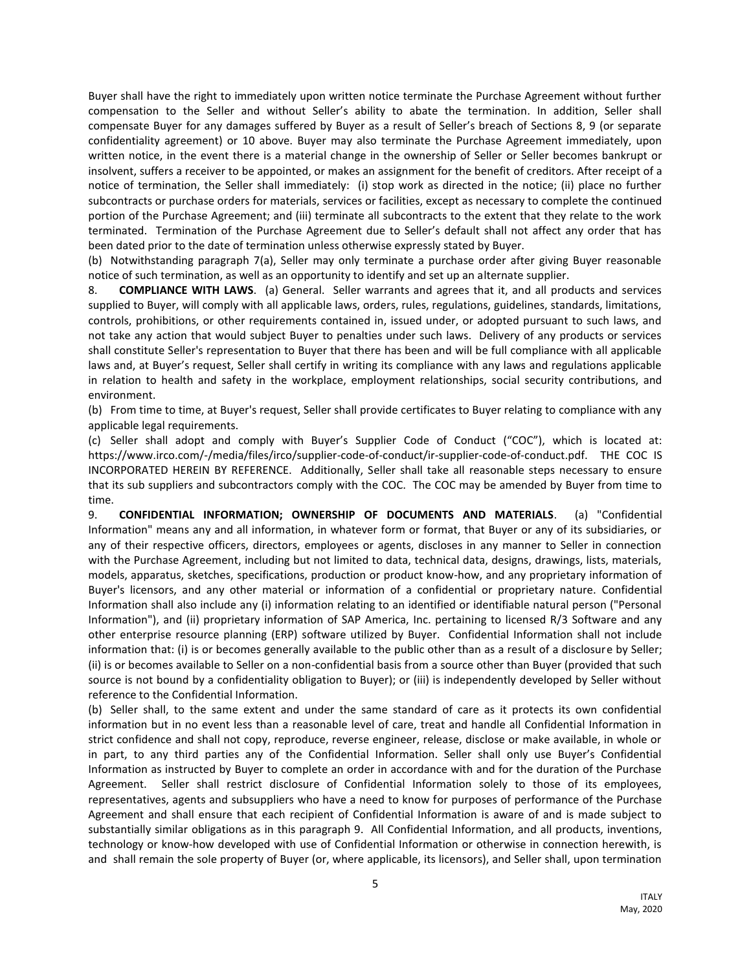Buyer shall have the right to immediately upon written notice terminate the Purchase Agreement without further compensation to the Seller and without Seller's ability to abate the termination. In addition, Seller shall compensate Buyer for any damages suffered by Buyer as a result of Seller's breach of Sections 8, 9 (or separate confidentiality agreement) or 10 above. Buyer may also terminate the Purchase Agreement immediately, upon written notice, in the event there is a material change in the ownership of Seller or Seller becomes bankrupt or insolvent, suffers a receiver to be appointed, or makes an assignment for the benefit of creditors. After receipt of a notice of termination, the Seller shall immediately: (i) stop work as directed in the notice; (ii) place no further subcontracts or purchase orders for materials, services or facilities, except as necessary to complete the continued portion of the Purchase Agreement; and (iii) terminate all subcontracts to the extent that they relate to the work terminated. Termination of the Purchase Agreement due to Seller's default shall not affect any order that has been dated prior to the date of termination unless otherwise expressly stated by Buyer.

(b) Notwithstanding paragraph 7(a), Seller may only terminate a purchase order after giving Buyer reasonable notice of such termination, as well as an opportunity to identify and set up an alternate supplier.

8. **COMPLIANCE WITH LAWS**. (a) General. Seller warrants and agrees that it, and all products and services supplied to Buyer, will comply with all applicable laws, orders, rules, regulations, guidelines, standards, limitations, controls, prohibitions, or other requirements contained in, issued under, or adopted pursuant to such laws, and not take any action that would subject Buyer to penalties under such laws. Delivery of any products or services shall constitute Seller's representation to Buyer that there has been and will be full compliance with all applicable laws and, at Buyer's request, Seller shall certify in writing its compliance with any laws and regulations applicable in relation to health and safety in the workplace, employment relationships, social security contributions, and environment.

(b) From time to time, at Buyer's request, Seller shall provide certificates to Buyer relating to compliance with any applicable legal requirements.

(c) Seller shall adopt and comply with Buyer's Supplier Code of Conduct ("COC"), which is located at: https://www.irco.com/-/media/files/irco/supplier-code-of-conduct/ir-supplier-code-of-conduct.pdf. THE COC IS INCORPORATED HEREIN BY REFERENCE. Additionally, Seller shall take all reasonable steps necessary to ensure that its sub suppliers and subcontractors comply with the COC. The COC may be amended by Buyer from time to time.

9. **CONFIDENTIAL INFORMATION; OWNERSHIP OF DOCUMENTS AND MATERIALS**. (a) "Confidential Information" means any and all information, in whatever form or format, that Buyer or any of its subsidiaries, or any of their respective officers, directors, employees or agents, discloses in any manner to Seller in connection with the Purchase Agreement, including but not limited to data, technical data, designs, drawings, lists, materials, models, apparatus, sketches, specifications, production or product know-how, and any proprietary information of Buyer's licensors, and any other material or information of a confidential or proprietary nature. Confidential Information shall also include any (i) information relating to an identified or identifiable natural person ("Personal Information"), and (ii) proprietary information of SAP America, Inc. pertaining to licensed R/3 Software and any other enterprise resource planning (ERP) software utilized by Buyer. Confidential Information shall not include information that: (i) is or becomes generally available to the public other than as a result of a disclosure by Seller; (ii) is or becomes available to Seller on a non-confidential basis from a source other than Buyer (provided that such source is not bound by a confidentiality obligation to Buyer); or (iii) is independently developed by Seller without reference to the Confidential Information.

(b) Seller shall, to the same extent and under the same standard of care as it protects its own confidential information but in no event less than a reasonable level of care, treat and handle all Confidential Information in strict confidence and shall not copy, reproduce, reverse engineer, release, disclose or make available, in whole or in part, to any third parties any of the Confidential Information. Seller shall only use Buyer's Confidential Information as instructed by Buyer to complete an order in accordance with and for the duration of the Purchase Agreement. Seller shall restrict disclosure of Confidential Information solely to those of its employees, representatives, agents and subsuppliers who have a need to know for purposes of performance of the Purchase Agreement and shall ensure that each recipient of Confidential Information is aware of and is made subject to substantially similar obligations as in this paragraph 9. All Confidential Information, and all products, inventions, technology or know-how developed with use of Confidential Information or otherwise in connection herewith, is and shall remain the sole property of Buyer (or, where applicable, its licensors), and Seller shall, upon termination

5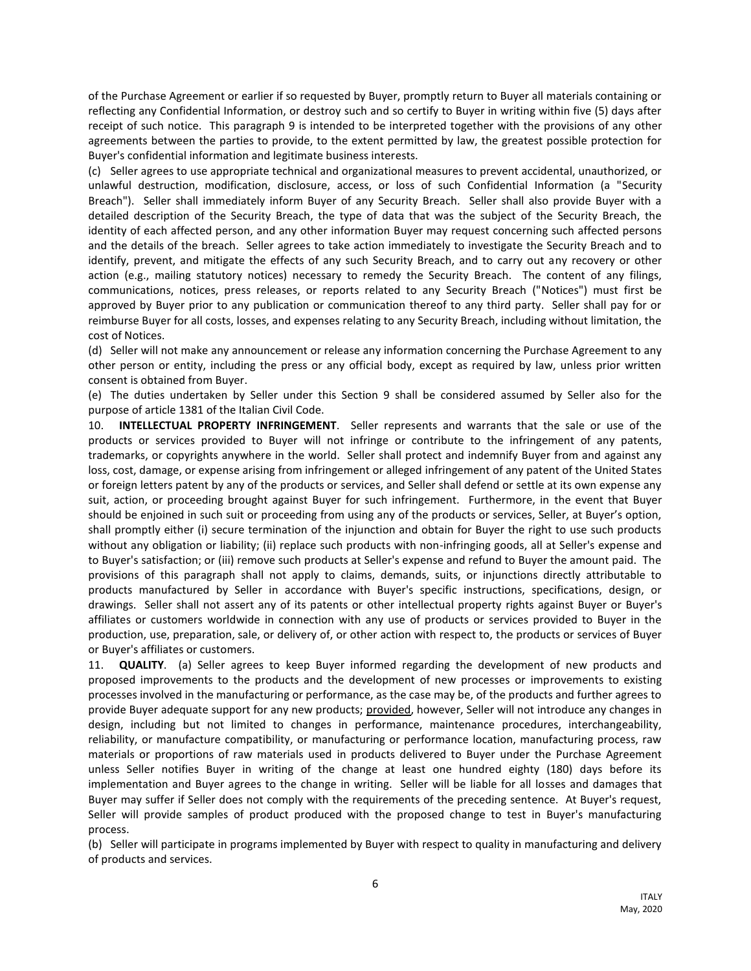of the Purchase Agreement or earlier if so requested by Buyer, promptly return to Buyer all materials containing or reflecting any Confidential Information, or destroy such and so certify to Buyer in writing within five (5) days after receipt of such notice. This paragraph 9 is intended to be interpreted together with the provisions of any other agreements between the parties to provide, to the extent permitted by law, the greatest possible protection for Buyer's confidential information and legitimate business interests.

(c) Seller agrees to use appropriate technical and organizational measures to prevent accidental, unauthorized, or unlawful destruction, modification, disclosure, access, or loss of such Confidential Information (a "Security Breach"). Seller shall immediately inform Buyer of any Security Breach. Seller shall also provide Buyer with a detailed description of the Security Breach, the type of data that was the subject of the Security Breach, the identity of each affected person, and any other information Buyer may request concerning such affected persons and the details of the breach. Seller agrees to take action immediately to investigate the Security Breach and to identify, prevent, and mitigate the effects of any such Security Breach, and to carry out any recovery or other action (e.g., mailing statutory notices) necessary to remedy the Security Breach. The content of any filings, communications, notices, press releases, or reports related to any Security Breach ("Notices") must first be approved by Buyer prior to any publication or communication thereof to any third party. Seller shall pay for or reimburse Buyer for all costs, losses, and expenses relating to any Security Breach, including without limitation, the cost of Notices.

(d) Seller will not make any announcement or release any information concerning the Purchase Agreement to any other person or entity, including the press or any official body, except as required by law, unless prior written consent is obtained from Buyer.

(e) The duties undertaken by Seller under this Section 9 shall be considered assumed by Seller also for the purpose of article 1381 of the Italian Civil Code.

10. **INTELLECTUAL PROPERTY INFRINGEMENT**. Seller represents and warrants that the sale or use of the products or services provided to Buyer will not infringe or contribute to the infringement of any patents, trademarks, or copyrights anywhere in the world. Seller shall protect and indemnify Buyer from and against any loss, cost, damage, or expense arising from infringement or alleged infringement of any patent of the United States or foreign letters patent by any of the products or services, and Seller shall defend or settle at its own expense any suit, action, or proceeding brought against Buyer for such infringement. Furthermore, in the event that Buyer should be enjoined in such suit or proceeding from using any of the products or services, Seller, at Buyer's option, shall promptly either (i) secure termination of the injunction and obtain for Buyer the right to use such products without any obligation or liability; (ii) replace such products with non-infringing goods, all at Seller's expense and to Buyer's satisfaction; or (iii) remove such products at Seller's expense and refund to Buyer the amount paid. The provisions of this paragraph shall not apply to claims, demands, suits, or injunctions directly attributable to products manufactured by Seller in accordance with Buyer's specific instructions, specifications, design, or drawings. Seller shall not assert any of its patents or other intellectual property rights against Buyer or Buyer's affiliates or customers worldwide in connection with any use of products or services provided to Buyer in the production, use, preparation, sale, or delivery of, or other action with respect to, the products or services of Buyer or Buyer's affiliates or customers.

11. **QUALITY**. (a) Seller agrees to keep Buyer informed regarding the development of new products and proposed improvements to the products and the development of new processes or improvements to existing processes involved in the manufacturing or performance, as the case may be, of the products and further agrees to provide Buyer adequate support for any new products; provided, however, Seller will not introduce any changes in design, including but not limited to changes in performance, maintenance procedures, interchangeability, reliability, or manufacture compatibility, or manufacturing or performance location, manufacturing process, raw materials or proportions of raw materials used in products delivered to Buyer under the Purchase Agreement unless Seller notifies Buyer in writing of the change at least one hundred eighty (180) days before its implementation and Buyer agrees to the change in writing. Seller will be liable for all losses and damages that Buyer may suffer if Seller does not comply with the requirements of the preceding sentence. At Buyer's request, Seller will provide samples of product produced with the proposed change to test in Buyer's manufacturing process.

(b) Seller will participate in programs implemented by Buyer with respect to quality in manufacturing and delivery of products and services.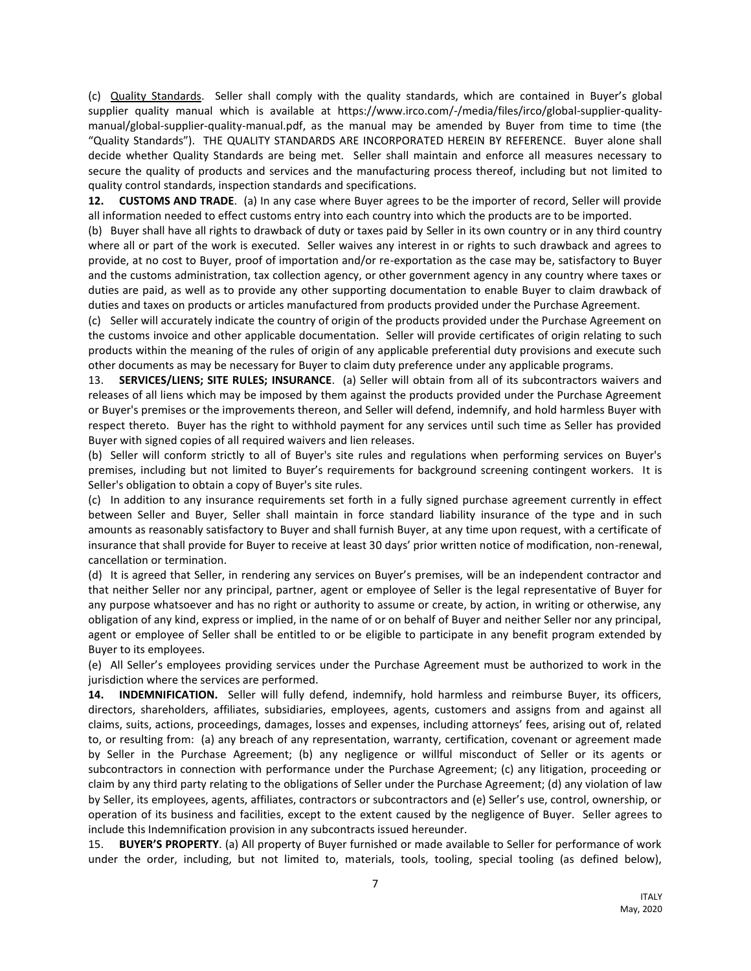(c) Quality Standards. Seller shall comply with the quality standards, which are contained in Buyer's global supplier quality manual which is available at https://www.irco.com/-/media/files/irco/global-supplier-qualitymanual/global-supplier-quality-manual.pdf, as the manual may be amended by Buyer from time to time (the "Quality Standards"). THE QUALITY STANDARDS ARE INCORPORATED HEREIN BY REFERENCE. Buyer alone shall decide whether Quality Standards are being met. Seller shall maintain and enforce all measures necessary to secure the quality of products and services and the manufacturing process thereof, including but not limited to quality control standards, inspection standards and specifications.

**12. CUSTOMS AND TRADE**. (a) In any case where Buyer agrees to be the importer of record, Seller will provide all information needed to effect customs entry into each country into which the products are to be imported.

(b) Buyer shall have all rights to drawback of duty or taxes paid by Seller in its own country or in any third country where all or part of the work is executed. Seller waives any interest in or rights to such drawback and agrees to provide, at no cost to Buyer, proof of importation and/or re-exportation as the case may be, satisfactory to Buyer and the customs administration, tax collection agency, or other government agency in any country where taxes or duties are paid, as well as to provide any other supporting documentation to enable Buyer to claim drawback of duties and taxes on products or articles manufactured from products provided under the Purchase Agreement.

(c) Seller will accurately indicate the country of origin of the products provided under the Purchase Agreement on the customs invoice and other applicable documentation. Seller will provide certificates of origin relating to such products within the meaning of the rules of origin of any applicable preferential duty provisions and execute such other documents as may be necessary for Buyer to claim duty preference under any applicable programs.

13. **SERVICES/LIENS; SITE RULES; INSURANCE**. (a) Seller will obtain from all of its subcontractors waivers and releases of all liens which may be imposed by them against the products provided under the Purchase Agreement or Buyer's premises or the improvements thereon, and Seller will defend, indemnify, and hold harmless Buyer with respect thereto. Buyer has the right to withhold payment for any services until such time as Seller has provided Buyer with signed copies of all required waivers and lien releases.

(b) Seller will conform strictly to all of Buyer's site rules and regulations when performing services on Buyer's premises, including but not limited to Buyer's requirements for background screening contingent workers. It is Seller's obligation to obtain a copy of Buyer's site rules.

(c) In addition to any insurance requirements set forth in a fully signed purchase agreement currently in effect between Seller and Buyer, Seller shall maintain in force standard liability insurance of the type and in such amounts as reasonably satisfactory to Buyer and shall furnish Buyer, at any time upon request, with a certificate of insurance that shall provide for Buyer to receive at least 30 days' prior written notice of modification, non-renewal, cancellation or termination.

(d) It is agreed that Seller, in rendering any services on Buyer's premises, will be an independent contractor and that neither Seller nor any principal, partner, agent or employee of Seller is the legal representative of Buyer for any purpose whatsoever and has no right or authority to assume or create, by action, in writing or otherwise, any obligation of any kind, express or implied, in the name of or on behalf of Buyer and neither Seller nor any principal, agent or employee of Seller shall be entitled to or be eligible to participate in any benefit program extended by Buyer to its employees.

(e) All Seller's employees providing services under the Purchase Agreement must be authorized to work in the jurisdiction where the services are performed.

**14. INDEMNIFICATION.** Seller will fully defend, indemnify, hold harmless and reimburse Buyer, its officers, directors, shareholders, affiliates, subsidiaries, employees, agents, customers and assigns from and against all claims, suits, actions, proceedings, damages, losses and expenses, including attorneys' fees, arising out of, related to, or resulting from: (a) any breach of any representation, warranty, certification, covenant or agreement made by Seller in the Purchase Agreement; (b) any negligence or willful misconduct of Seller or its agents or subcontractors in connection with performance under the Purchase Agreement; (c) any litigation, proceeding or claim by any third party relating to the obligations of Seller under the Purchase Agreement; (d) any violation of law by Seller, its employees, agents, affiliates, contractors or subcontractors and (e) Seller's use, control, ownership, or operation of its business and facilities, except to the extent caused by the negligence of Buyer. Seller agrees to include this Indemnification provision in any subcontracts issued hereunder.

15. **BUYER'S PROPERTY**. (a) All property of Buyer furnished or made available to Seller for performance of work under the order, including, but not limited to, materials, tools, tooling, special tooling (as defined below),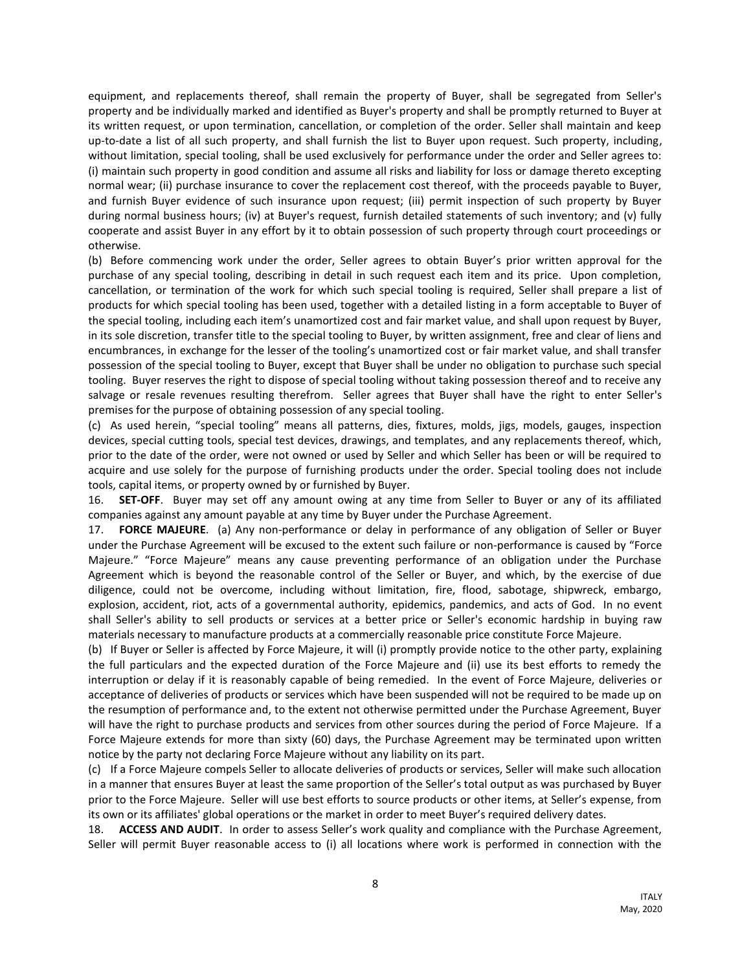equipment, and replacements thereof, shall remain the property of Buyer, shall be segregated from Seller's property and be individually marked and identified as Buyer's property and shall be promptly returned to Buyer at its written request, or upon termination, cancellation, or completion of the order. Seller shall maintain and keep up-to-date a list of all such property, and shall furnish the list to Buyer upon request. Such property, including, without limitation, special tooling, shall be used exclusively for performance under the order and Seller agrees to: (i) maintain such property in good condition and assume all risks and liability for loss or damage thereto excepting normal wear; (ii) purchase insurance to cover the replacement cost thereof, with the proceeds payable to Buyer, and furnish Buyer evidence of such insurance upon request; (iii) permit inspection of such property by Buyer during normal business hours; (iv) at Buyer's request, furnish detailed statements of such inventory; and (v) fully cooperate and assist Buyer in any effort by it to obtain possession of such property through court proceedings or otherwise.

(b) Before commencing work under the order, Seller agrees to obtain Buyer's prior written approval for the purchase of any special tooling, describing in detail in such request each item and its price. Upon completion, cancellation, or termination of the work for which such special tooling is required, Seller shall prepare a list of products for which special tooling has been used, together with a detailed listing in a form acceptable to Buyer of the special tooling, including each item's unamortized cost and fair market value, and shall upon request by Buyer, in its sole discretion, transfer title to the special tooling to Buyer, by written assignment, free and clear of liens and encumbrances, in exchange for the lesser of the tooling's unamortized cost or fair market value, and shall transfer possession of the special tooling to Buyer, except that Buyer shall be under no obligation to purchase such special tooling. Buyer reserves the right to dispose of special tooling without taking possession thereof and to receive any salvage or resale revenues resulting therefrom. Seller agrees that Buyer shall have the right to enter Seller's premises for the purpose of obtaining possession of any special tooling.

(c) As used herein, "special tooling" means all patterns, dies, fixtures, molds, jigs, models, gauges, inspection devices, special cutting tools, special test devices, drawings, and templates, and any replacements thereof, which, prior to the date of the order, were not owned or used by Seller and which Seller has been or will be required to acquire and use solely for the purpose of furnishing products under the order. Special tooling does not include tools, capital items, or property owned by or furnished by Buyer.

16. **SET-OFF**. Buyer may set off any amount owing at any time from Seller to Buyer or any of its affiliated companies against any amount payable at any time by Buyer under the Purchase Agreement.

17. **FORCE MAJEURE**. (a) Any non-performance or delay in performance of any obligation of Seller or Buyer under the Purchase Agreement will be excused to the extent such failure or non-performance is caused by "Force Majeure." "Force Majeure" means any cause preventing performance of an obligation under the Purchase Agreement which is beyond the reasonable control of the Seller or Buyer, and which, by the exercise of due diligence, could not be overcome, including without limitation, fire, flood, sabotage, shipwreck, embargo, explosion, accident, riot, acts of a governmental authority, epidemics, pandemics, and acts of God. In no event shall Seller's ability to sell products or services at a better price or Seller's economic hardship in buying raw materials necessary to manufacture products at a commercially reasonable price constitute Force Majeure.

(b) If Buyer or Seller is affected by Force Majeure, it will (i) promptly provide notice to the other party, explaining the full particulars and the expected duration of the Force Majeure and (ii) use its best efforts to remedy the interruption or delay if it is reasonably capable of being remedied. In the event of Force Majeure, deliveries or acceptance of deliveries of products or services which have been suspended will not be required to be made up on the resumption of performance and, to the extent not otherwise permitted under the Purchase Agreement, Buyer will have the right to purchase products and services from other sources during the period of Force Majeure. If a Force Majeure extends for more than sixty (60) days, the Purchase Agreement may be terminated upon written notice by the party not declaring Force Majeure without any liability on its part.

(c) If a Force Majeure compels Seller to allocate deliveries of products or services, Seller will make such allocation in a manner that ensures Buyer at least the same proportion of the Seller's total output as was purchased by Buyer prior to the Force Majeure. Seller will use best efforts to source products or other items, at Seller's expense, from its own or its affiliates' global operations or the market in order to meet Buyer's required delivery dates.

18. **ACCESS AND AUDIT**. In order to assess Seller's work quality and compliance with the Purchase Agreement, Seller will permit Buyer reasonable access to (i) all locations where work is performed in connection with the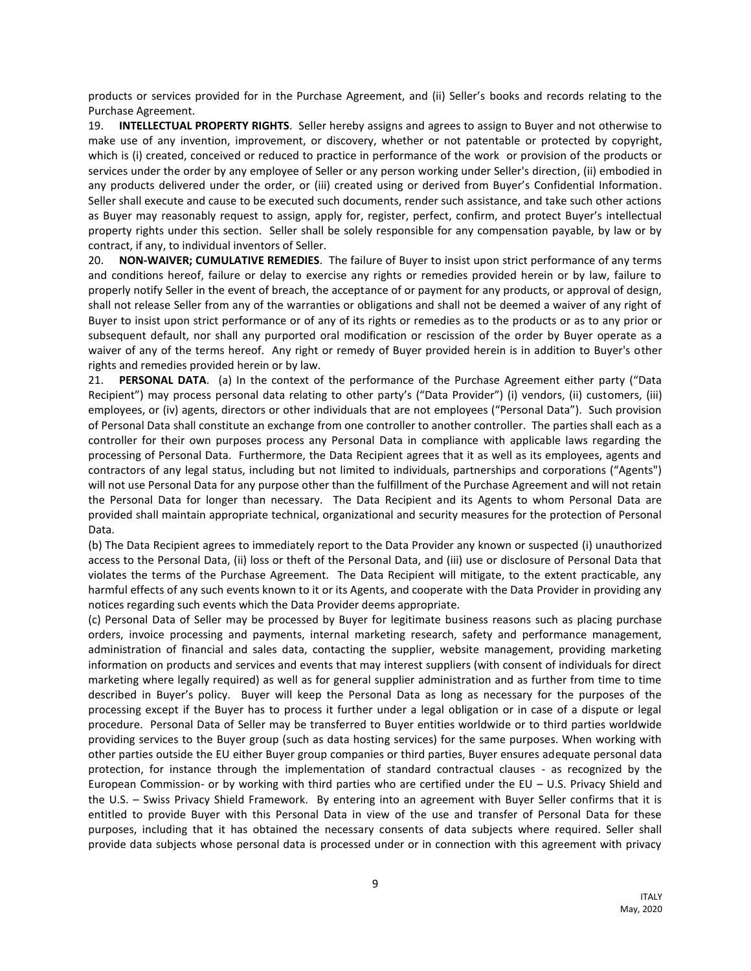products or services provided for in the Purchase Agreement, and (ii) Seller's books and records relating to the Purchase Agreement.

19. **INTELLECTUAL PROPERTY RIGHTS**. Seller hereby assigns and agrees to assign to Buyer and not otherwise to make use of any invention, improvement, or discovery, whether or not patentable or protected by copyright, which is (i) created, conceived or reduced to practice in performance of the work or provision of the products or services under the order by any employee of Seller or any person working under Seller's direction, (ii) embodied in any products delivered under the order, or (iii) created using or derived from Buyer's Confidential Information. Seller shall execute and cause to be executed such documents, render such assistance, and take such other actions as Buyer may reasonably request to assign, apply for, register, perfect, confirm, and protect Buyer's intellectual property rights under this section. Seller shall be solely responsible for any compensation payable, by law or by contract, if any, to individual inventors of Seller.

20. **NON-WAIVER; CUMULATIVE REMEDIES**. The failure of Buyer to insist upon strict performance of any terms and conditions hereof, failure or delay to exercise any rights or remedies provided herein or by law, failure to properly notify Seller in the event of breach, the acceptance of or payment for any products, or approval of design, shall not release Seller from any of the warranties or obligations and shall not be deemed a waiver of any right of Buyer to insist upon strict performance or of any of its rights or remedies as to the products or as to any prior or subsequent default, nor shall any purported oral modification or rescission of the order by Buyer operate as a waiver of any of the terms hereof. Any right or remedy of Buyer provided herein is in addition to Buyer's other rights and remedies provided herein or by law.

21. **PERSONAL DATA**. (a) In the context of the performance of the Purchase Agreement either party ("Data Recipient") may process personal data relating to other party's ("Data Provider") (i) vendors, (ii) customers, (iii) employees, or (iv) agents, directors or other individuals that are not employees ("Personal Data"). Such provision of Personal Data shall constitute an exchange from one controller to another controller. The parties shall each as a controller for their own purposes process any Personal Data in compliance with applicable laws regarding the processing of Personal Data. Furthermore, the Data Recipient agrees that it as well as its employees, agents and contractors of any legal status, including but not limited to individuals, partnerships and corporations ("Agents") will not use Personal Data for any purpose other than the fulfillment of the Purchase Agreement and will not retain the Personal Data for longer than necessary. The Data Recipient and its Agents to whom Personal Data are provided shall maintain appropriate technical, organizational and security measures for the protection of Personal Data.

(b) The Data Recipient agrees to immediately report to the Data Provider any known or suspected (i) unauthorized access to the Personal Data, (ii) loss or theft of the Personal Data, and (iii) use or disclosure of Personal Data that violates the terms of the Purchase Agreement. The Data Recipient will mitigate, to the extent practicable, any harmful effects of any such events known to it or its Agents, and cooperate with the Data Provider in providing any notices regarding such events which the Data Provider deems appropriate.

(c) Personal Data of Seller may be processed by Buyer for legitimate business reasons such as placing purchase orders, invoice processing and payments, internal marketing research, safety and performance management, administration of financial and sales data, contacting the supplier, website management, providing marketing information on products and services and events that may interest suppliers (with consent of individuals for direct marketing where legally required) as well as for general supplier administration and as further from time to time described in Buyer's policy. Buyer will keep the Personal Data as long as necessary for the purposes of the processing except if the Buyer has to process it further under a legal obligation or in case of a dispute or legal procedure. Personal Data of Seller may be transferred to Buyer entities worldwide or to third parties worldwide providing services to the Buyer group (such as data hosting services) for the same purposes. When working with other parties outside the EU either Buyer group companies or third parties, Buyer ensures adequate personal data protection, for instance through the implementation of standard contractual clauses - as recognized by the European Commission- or by working with third parties who are certified under the EU – U.S. Privacy Shield and the U.S. – Swiss Privacy Shield Framework. By entering into an agreement with Buyer Seller confirms that it is entitled to provide Buyer with this Personal Data in view of the use and transfer of Personal Data for these purposes, including that it has obtained the necessary consents of data subjects where required. Seller shall provide data subjects whose personal data is processed under or in connection with this agreement with privacy